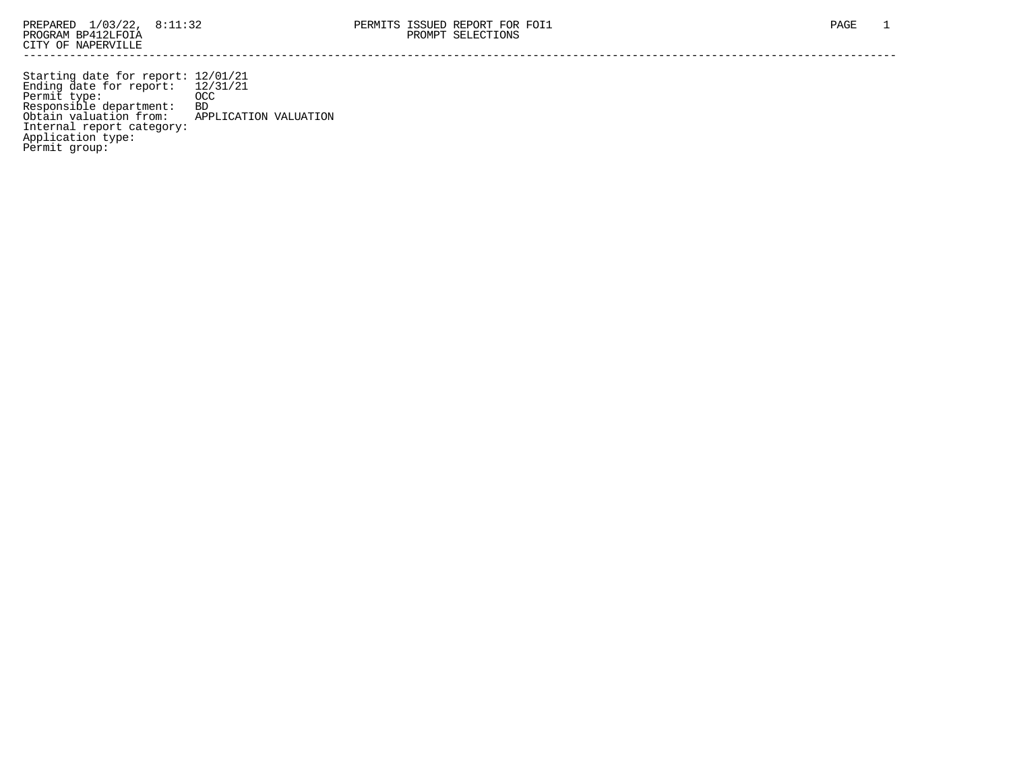Starting date for report: 12/01/21 Ending date for report: 12/31/21 Permit type: OCC Responsible department: BD Obtain valuation from: APPLICATION VALUATION Internal report category: Application type: Permit group: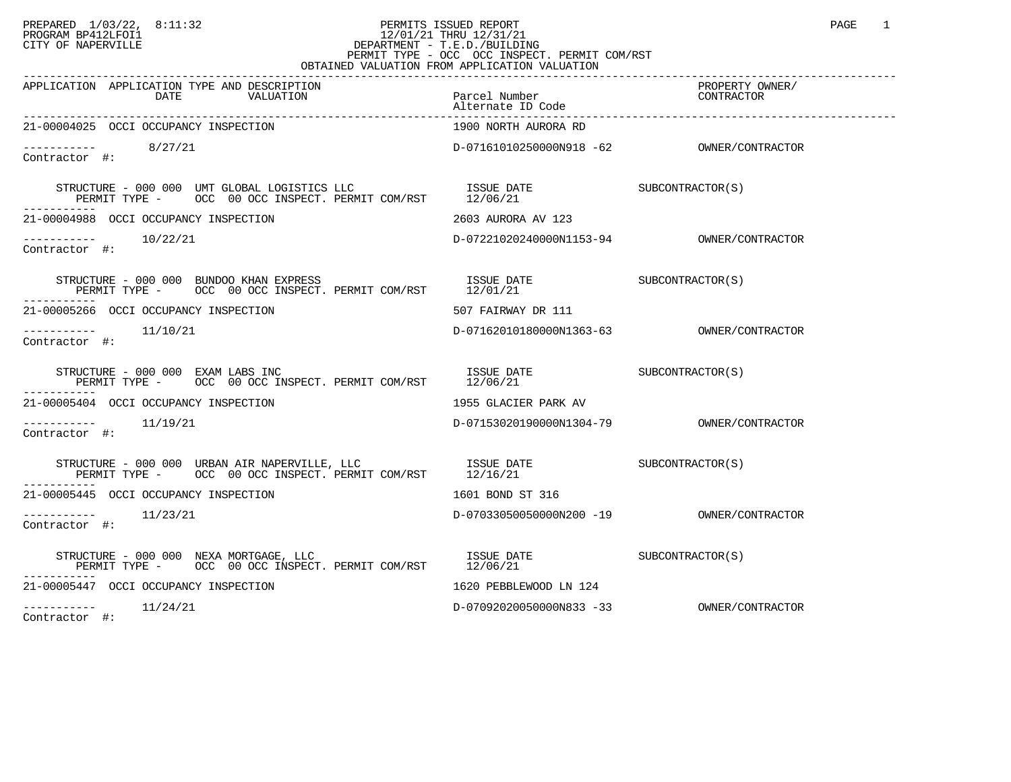## PREPARED 1/03/22, 8:11:32 PERMITS ISSUED REPORT<br>PROGRAM BP412LFOI1 PAGE 1 PROGRAM BP412LFOI1 12/01/21 THRU 12/31/21 CITY OF NAPERVILLE **Example 20** CITY OF NAPERVILLE PERMIT TYPE - OCC OCC INSPECT. PERMIT COM/RST OBTAINED VALUATION FROM APPLICATION VALUATION

| APPLICATION APPLICATION TYPE AND DESCRIPTION<br>DATE<br>VALUATION                                                                                                                                                                                                                                                                                                                                                                | Parcel Number<br>Alternate ID Code | PROPERTY OWNER/<br>CONTRACTOR |
|----------------------------------------------------------------------------------------------------------------------------------------------------------------------------------------------------------------------------------------------------------------------------------------------------------------------------------------------------------------------------------------------------------------------------------|------------------------------------|-------------------------------|
| 21-00004025 OCCI OCCUPANCY INSPECTION                                                                                                                                                                                                                                                                                                                                                                                            | 1900 NORTH AURORA RD               |                               |
| $--------- 8/27/21$<br>Contractor #:                                                                                                                                                                                                                                                                                                                                                                                             |                                    |                               |
|                                                                                                                                                                                                                                                                                                                                                                                                                                  |                                    |                               |
| 21-00004988 OCCI OCCUPANCY INSPECTION                                                                                                                                                                                                                                                                                                                                                                                            | 2603 AURORA AV 123                 |                               |
| $--------$ 10/22/21<br>Contractor #:                                                                                                                                                                                                                                                                                                                                                                                             |                                    |                               |
| $\begin{tabular}{lllllll} \texttt{STRUCTURE} & 000 & 000 & \texttt{BUNDOO KHAM EXPRESS} & \texttt{ISSUE DATE} & \texttt{DATE} & \texttt{SUBCONTRACTOR(S)} \\ \texttt{PERMIT TYPE} & - & \texttt{OCC} & 00 & \texttt{OCC} & \texttt{INSPECTC} & \texttt{PERMIT COM/RST} & 12/01/21 & \end{tabular}$                                                                                                                               |                                    |                               |
| 21-00005266 OCCI OCCUPANCY INSPECTION                                                                                                                                                                                                                                                                                                                                                                                            | 507 FAIRWAY DR 111                 |                               |
| -----------    11/10/21<br>Contractor #:                                                                                                                                                                                                                                                                                                                                                                                         |                                    |                               |
| $\begin{tabular}{lllllll} \multicolumn{2}{l}{{\bf STRUCTURE} & - & 000 & 000 & EXAM LABS & \text{INC}\\ \multicolumn{2}{l}{\bf PERMIT} & \text{TYPE} & - & \text{OCC} & 00 & \text{OCC} & \text{INSPECT.} & \text{PERMIT} & \text{COM/RST} & & & 12/06/21 & & & & \\ \multicolumn{2}{l}{\bf PERMIT} & \text{TYPE} & - & \text{OCC} & 00 & \text{OCC} & \text{INSPECT.} & \text{PERMIT} & \text{COM/RST} & & & 12/06/21 & & & \\$ |                                    |                               |
| 21-00005404 OCCI OCCUPANCY INSPECTION                                                                                                                                                                                                                                                                                                                                                                                            | 1955 GLACIER PARK AV               |                               |
| $--------$ 11/19/21<br>Contractor #:                                                                                                                                                                                                                                                                                                                                                                                             |                                    |                               |
|                                                                                                                                                                                                                                                                                                                                                                                                                                  |                                    |                               |
| 21-00005445 OCCI OCCUPANCY INSPECTION                                                                                                                                                                                                                                                                                                                                                                                            | 1601 BOND ST 316                   |                               |
| Contractor #:                                                                                                                                                                                                                                                                                                                                                                                                                    |                                    |                               |
| STRUCTURE - 000 000 NEXA MORTGAGE, LLC                                                                                                                                                                                                                                                                                                                                                                                           |                                    |                               |
| 21-00005447 OCCI OCCUPANCY INSPECTION                                                                                                                                                                                                                                                                                                                                                                                            | 1620 PEBBLEWOOD LN 124             |                               |
| $--------- 11/24/21$                                                                                                                                                                                                                                                                                                                                                                                                             |                                    |                               |

Contractor #: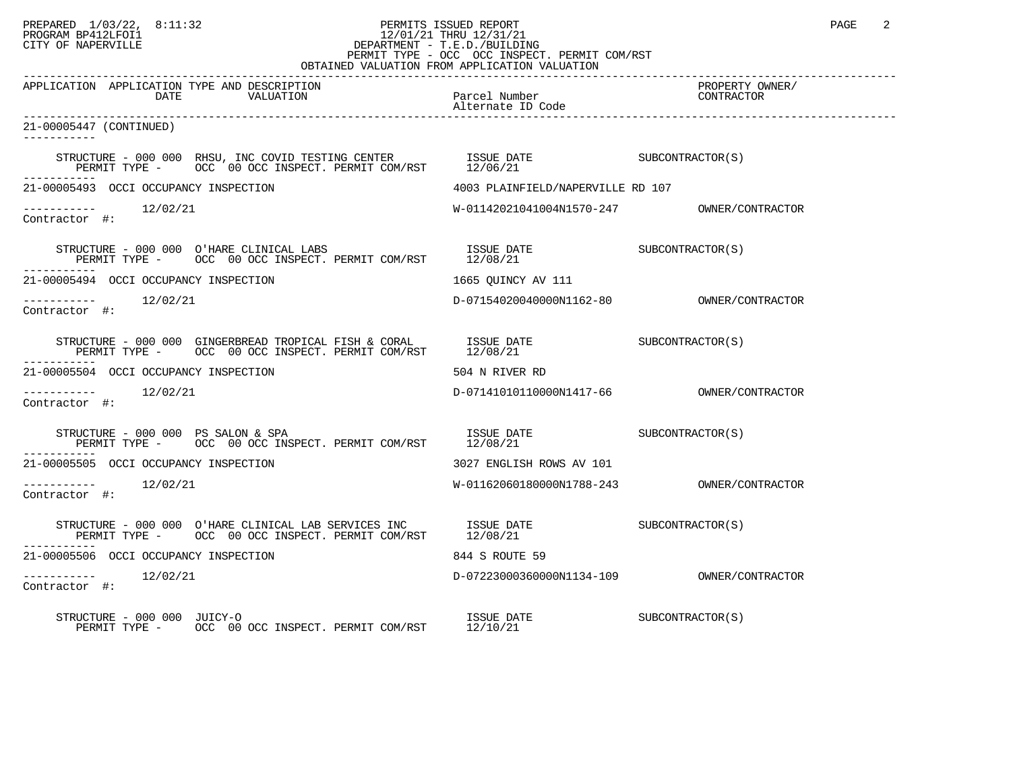## PREPARED 1/03/22, 8:11:32 PERMITS ISSUED REPORT PAGE 2 PROGRAM BP412LFOI1 12/01/21 THRU 12/31/21 CITY OF NAPERVILLE **Example 20** CITY OF NAPERVILLE PERMIT TYPE - OCC OCC INSPECT. PERMIT COM/RST

|                                                                                                                                                                                                                                                                                                                | OBTAINED VALUATION FROM APPLICATION VALUATION           |                               |  |
|----------------------------------------------------------------------------------------------------------------------------------------------------------------------------------------------------------------------------------------------------------------------------------------------------------------|---------------------------------------------------------|-------------------------------|--|
| APPLICATION APPLICATION TYPE AND DESCRIPTION<br>DATE<br>VALUATION                                                                                                                                                                                                                                              | Parcel Number<br>Alternate ID Code<br>Alternate ID Code | PROPERTY OWNER/<br>CONTRACTOR |  |
| 21-00005447 (CONTINUED)<br>-----------                                                                                                                                                                                                                                                                         |                                                         |                               |  |
| STRUCTURE – 000 000 RHSU, INC COVID TESTING CENTER ISSUE DATE SUBCONTRACTOR(S) PERMIT TYPE – OCC 00 OCC INSPECT. PERMIT COM/RST 12/06/21                                                                                                                                                                       |                                                         |                               |  |
| 21-00005493 OCCI OCCUPANCY INSPECTION                                                                                                                                                                                                                                                                          | 4003 PLAINFIELD/NAPERVILLE RD 107                       |                               |  |
| Contractor #:                                                                                                                                                                                                                                                                                                  |                                                         |                               |  |
|                                                                                                                                                                                                                                                                                                                |                                                         |                               |  |
| 21-00005494 OCCI OCCUPANCY INSPECTION                                                                                                                                                                                                                                                                          | 1665 OUINCY AV 111                                      |                               |  |
| Contractor #:                                                                                                                                                                                                                                                                                                  |                                                         |                               |  |
| STRUCTURE – 000 000 GINGERBREAD TROPICAL FISH & CORAL ISSUE DATE SUBCONTRACTOR(S) PERMIT TYPE – OCC 00 OCC INSPECT. PERMIT COM/RST 12/08/21                                                                                                                                                                    |                                                         |                               |  |
| 21-00005504 OCCI OCCUPANCY INSPECTION                                                                                                                                                                                                                                                                          | 504 N RIVER RD                                          |                               |  |
| $--------$ 12/02/21<br>Contractor #:                                                                                                                                                                                                                                                                           |                                                         |                               |  |
| $\begin{tabular}{lllllll} \texttt{STRUCTURE} & - & 000 & 000 & PS & SALON & \& SPA & & & & & \texttt{ISSUE} \texttt{DATE} & & & & \texttt{SUBCONTRACTOR(S)} \\ \texttt{PERMIT TYPE} & - & \texttt{OCC} & 00 & \texttt{OCC} & \texttt{INSERT} & \texttt{PERMIT COM/RST} & & & 12/08/21 & & & & & \end{tabular}$ |                                                         |                               |  |
| 21-00005505 OCCI OCCUPANCY INSPECTION                                                                                                                                                                                                                                                                          | 3027 ENGLISH ROWS AV 101                                |                               |  |
| -----------    12/02/21<br>Contractor #:                                                                                                                                                                                                                                                                       |                                                         |                               |  |
|                                                                                                                                                                                                                                                                                                                |                                                         |                               |  |
| 21-00005506 OCCI OCCUPANCY INSPECTION                                                                                                                                                                                                                                                                          | 844 S ROUTE 59                                          |                               |  |
| -----------    12/02/21<br>Contractor #:                                                                                                                                                                                                                                                                       |                                                         |                               |  |
| RUCIURE – UUU UUU JUICY-O<br>PERMIT TYPE – OCC 00 OCC INSPECT. PERMIT COM/RST 12/10/21<br>STRUCTURE - 000 000 JUICY-O                                                                                                                                                                                          |                                                         |                               |  |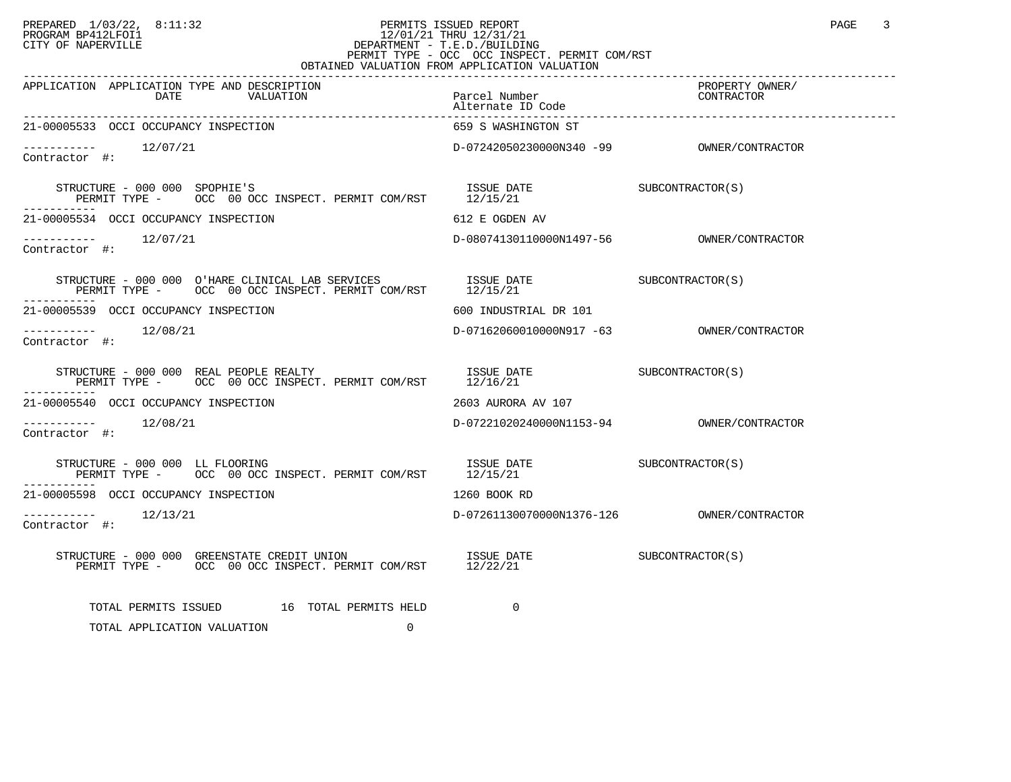## PREPARED 1/03/22, 8:11:32 PERMITS ISSUED REPORT<br>PROGRAM BP412LFOI1 PAGE 3 PROGRAM BP412LFOI1 12/01/21 THRU 12/31/21 CITY OF NAPERVILLE **Example 20** CITY OF NAPERVILLE PERMIT TYPE - OCC OCC INSPECT. PERMIT COM/RST OBTAINED VALUATION FROM APPLICATION VALUATION

| APPLICATION APPLICATION TYPE AND DESCRIPTION<br>DATE<br>VALUATION                                                                                                                                                                                                                                                                                                                                                                                                                            | Parcel Number<br>Alternate ID Code        | PROPERTY OWNER/<br>CONTRACTOR |
|----------------------------------------------------------------------------------------------------------------------------------------------------------------------------------------------------------------------------------------------------------------------------------------------------------------------------------------------------------------------------------------------------------------------------------------------------------------------------------------------|-------------------------------------------|-------------------------------|
| 21-00005533 OCCI OCCUPANCY INSPECTION                                                                                                                                                                                                                                                                                                                                                                                                                                                        | 659 S WASHINGTON ST                       |                               |
| Contractor #:                                                                                                                                                                                                                                                                                                                                                                                                                                                                                |                                           |                               |
| STRUCTURE - 000 000 SPOPHIE'S<br>PERMIT TYPE - OCC 00 OCC INSPECT. PERMIT COM/RST 12/15/21                                                                                                                                                                                                                                                                                                                                                                                                   | ISSUE DATE SUBCONTRACTOR(S)               |                               |
| 21-00005534 OCCI OCCUPANCY INSPECTION                                                                                                                                                                                                                                                                                                                                                                                                                                                        | 612 E OGDEN AV                            |                               |
| $--------- 12/07/21$<br>Contractor #:                                                                                                                                                                                                                                                                                                                                                                                                                                                        |                                           |                               |
| $\begin{tabular}{lllllllll} \multicolumn{2}{c}{STRUCTURE} & 000 & 000 & 0' HARE CLINICAL LAB SERVICES & 1SSUE DATE & 0.00.00 & 0.000 & 0.000 & 0.0000 & 0.0000 & 0.0000 & 0.0000 & 0.0000 & 0.0000 & 0.0000 & 0.0000 & 0.0000 & 0.0000 & 0.0000 & 0.0000 & 0.0000 & 0.0000 & 0.0000 & 0.0000 & 0.0000 & 0.$                                                                                                                                                                                  |                                           |                               |
| 21-00005539 OCCI OCCUPANCY INSPECTION                                                                                                                                                                                                                                                                                                                                                                                                                                                        | 600 INDUSTRIAL DR 101                     |                               |
| $--------- 12/08/21$<br>Contractor #:                                                                                                                                                                                                                                                                                                                                                                                                                                                        | D-07162060010000N917 -63 OWNER/CONTRACTOR |                               |
|                                                                                                                                                                                                                                                                                                                                                                                                                                                                                              |                                           |                               |
| 21-00005540 OCCI OCCUPANCY INSPECTION                                                                                                                                                                                                                                                                                                                                                                                                                                                        | 2603 AURORA AV 107                        |                               |
| Contractor #:                                                                                                                                                                                                                                                                                                                                                                                                                                                                                |                                           |                               |
|                                                                                                                                                                                                                                                                                                                                                                                                                                                                                              |                                           |                               |
| 21-00005598 OCCI OCCUPANCY INSPECTION                                                                                                                                                                                                                                                                                                                                                                                                                                                        | 1260 BOOK RD                              |                               |
| $--------$ 12/13/21<br>Contractor #:                                                                                                                                                                                                                                                                                                                                                                                                                                                         |                                           |                               |
| $\begin{tabular}{lllllll} \texttt{STRUCTURE} & $\color{red}000$ & $\color{red}000$ & $\color{red}GEENTSTATE & $\color{red}CEEDIT$ & $\color{red}WION$ & $\color{red}ISSUE$ & }\color{red}DATE & $\color{red}SUBCONTRACTOR(S)$ & $\color{red}PEREMT$ & $\color{red}TPE$ & $\color{red}OCC$ & $\color{red}00$ & $\color{red}OCC$ & $\color{red}INSPECT$ & $\color{red}PERMIT$ & $\color{red}COM/RST$ & $\color{red}12/22/21$ & $\color{red}8$ & $\color{red}8$ & $\color{red}5$ & $\color{red$ |                                           |                               |
| TOTAL PERMITS ISSUED 16 TOTAL PERMITS HELD                                                                                                                                                                                                                                                                                                                                                                                                                                                   | $\Omega$                                  |                               |
| 0<br>TOTAL APPLICATION VALUATION                                                                                                                                                                                                                                                                                                                                                                                                                                                             |                                           |                               |